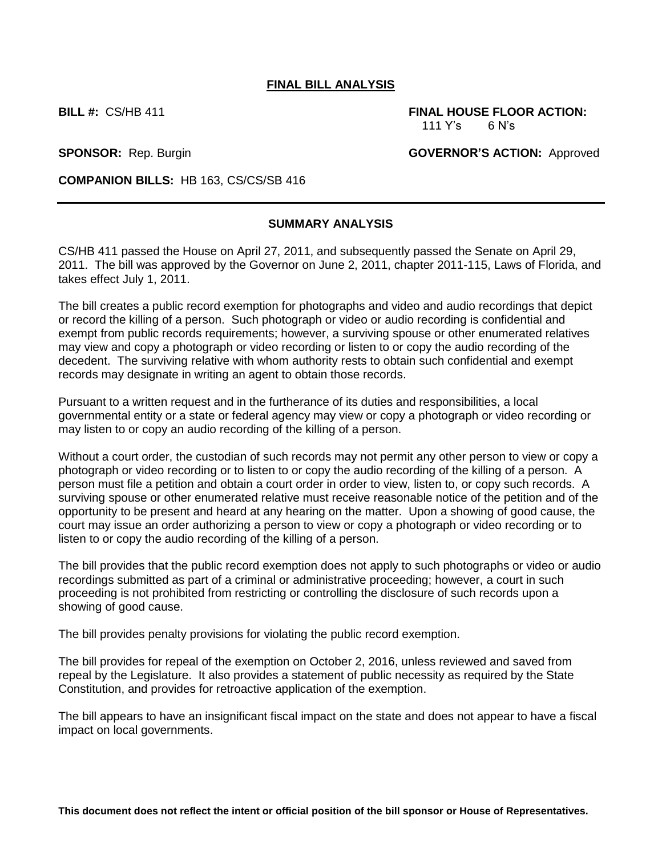#### **FINAL BILL ANALYSIS**

**BILL #:** CS/HB 411 **FINAL HOUSE FLOOR ACTION:** 111 Y's 6 N's

**SPONSOR:** Rep. Burgin **GOVERNOR'S ACTION:** Approved

**COMPANION BILLS:** HB 163, CS/CS/SB 416

# **SUMMARY ANALYSIS**

CS/HB 411 passed the House on April 27, 2011, and subsequently passed the Senate on April 29, 2011. The bill was approved by the Governor on June 2, 2011, chapter 2011-115, Laws of Florida, and takes effect July 1, 2011.

The bill creates a public record exemption for photographs and video and audio recordings that depict or record the killing of a person. Such photograph or video or audio recording is confidential and exempt from public records requirements; however, a surviving spouse or other enumerated relatives may view and copy a photograph or video recording or listen to or copy the audio recording of the decedent. The surviving relative with whom authority rests to obtain such confidential and exempt records may designate in writing an agent to obtain those records.

Pursuant to a written request and in the furtherance of its duties and responsibilities, a local governmental entity or a state or federal agency may view or copy a photograph or video recording or may listen to or copy an audio recording of the killing of a person.

Without a court order, the custodian of such records may not permit any other person to view or copy a photograph or video recording or to listen to or copy the audio recording of the killing of a person. A person must file a petition and obtain a court order in order to view, listen to, or copy such records. A surviving spouse or other enumerated relative must receive reasonable notice of the petition and of the opportunity to be present and heard at any hearing on the matter. Upon a showing of good cause, the court may issue an order authorizing a person to view or copy a photograph or video recording or to listen to or copy the audio recording of the killing of a person.

The bill provides that the public record exemption does not apply to such photographs or video or audio recordings submitted as part of a criminal or administrative proceeding; however, a court in such proceeding is not prohibited from restricting or controlling the disclosure of such records upon a showing of good cause.

The bill provides penalty provisions for violating the public record exemption.

The bill provides for repeal of the exemption on October 2, 2016, unless reviewed and saved from repeal by the Legislature. It also provides a statement of public necessity as required by the State Constitution, and provides for retroactive application of the exemption.

The bill appears to have an insignificant fiscal impact on the state and does not appear to have a fiscal impact on local governments.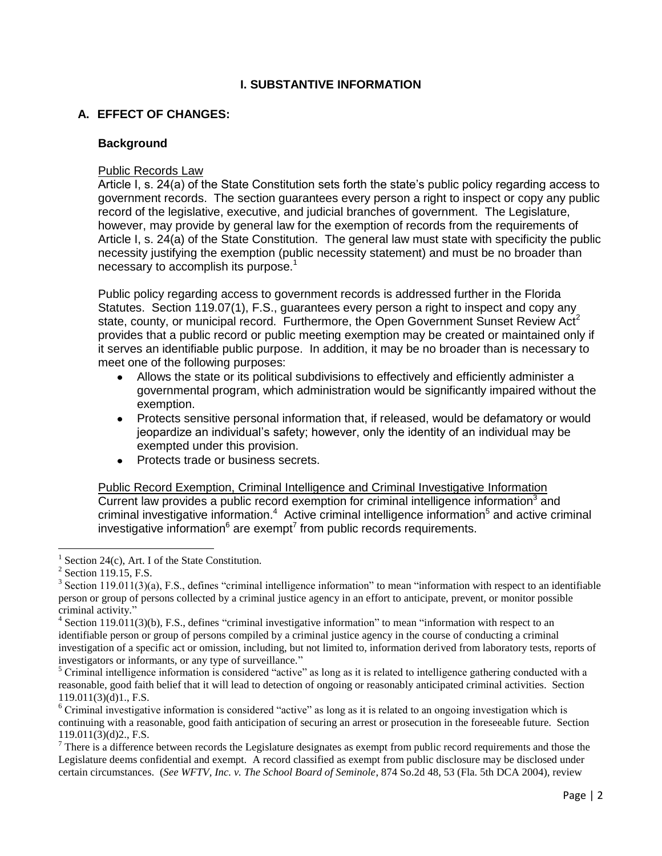# **I. SUBSTANTIVE INFORMATION**

# **A. EFFECT OF CHANGES:**

#### **Background**

#### Public Records Law

Article I, s. 24(a) of the State Constitution sets forth the state's public policy regarding access to government records. The section guarantees every person a right to inspect or copy any public record of the legislative, executive, and judicial branches of government. The Legislature, however, may provide by general law for the exemption of records from the requirements of Article I, s. 24(a) of the State Constitution. The general law must state with specificity the public necessity justifying the exemption (public necessity statement) and must be no broader than necessary to accomplish its purpose.<sup>1</sup>

Public policy regarding access to government records is addressed further in the Florida Statutes. Section 119.07(1), F.S., guarantees every person a right to inspect and copy any state, county, or municipal record. Furthermore, the Open Government Sunset Review Act<sup>2</sup> provides that a public record or public meeting exemption may be created or maintained only if it serves an identifiable public purpose. In addition, it may be no broader than is necessary to meet one of the following purposes:

- Allows the state or its political subdivisions to effectively and efficiently administer a governmental program, which administration would be significantly impaired without the exemption.
- Protects sensitive personal information that, if released, would be defamatory or would jeopardize an individual's safety; however, only the identity of an individual may be exempted under this provision.
- Protects trade or business secrets.

Public Record Exemption, Criminal Intelligence and Criminal Investigative Information Current law provides a public record exemption for criminal intelligence information $3$  and criminal investigative information.<sup>4</sup> Active criminal intelligence information<sup>5</sup> and active criminal investigative information $6$  are exempt<sup>7</sup> from public records requirements.

 $\overline{a}$ 

<sup>5</sup> Criminal intelligence information is considered "active" as long as it is related to intelligence gathering conducted with a reasonable, good faith belief that it will lead to detection of ongoing or reasonably anticipated criminal activities. Section  $119.011(3)(d)1$ ., F.S.

<sup>6</sup> Criminal investigative information is considered "active" as long as it is related to an ongoing investigation which is continuing with a reasonable, good faith anticipation of securing an arrest or prosecution in the foreseeable future. Section 119.011(3)(d)2., F.S.

 $7$  There is a difference between records the Legislature designates as exempt from public record requirements and those the Legislature deems confidential and exempt. A record classified as exempt from public disclosure may be disclosed under certain circumstances. (*See WFTV, Inc. v. The School Board of Seminole*, 874 So.2d 48, 53 (Fla. 5th DCA 2004), review

<sup>1</sup> Section 24(c), Art. I of the State Constitution.

<sup>&</sup>lt;sup>2</sup> Section 119.15, F.S.

 $3$  Section 119.011(3)(a), F.S., defines "criminal intelligence information" to mean "information with respect to an identifiable person or group of persons collected by a criminal justice agency in an effort to anticipate, prevent, or monitor possible criminal activity."

<sup>&</sup>lt;sup>4</sup> Section 119.011(3)(b), F.S., defines "criminal investigative information" to mean "information with respect to an identifiable person or group of persons compiled by a criminal justice agency in the course of conducting a criminal investigation of a specific act or omission, including, but not limited to, information derived from laboratory tests, reports of investigators or informants, or any type of surveillance."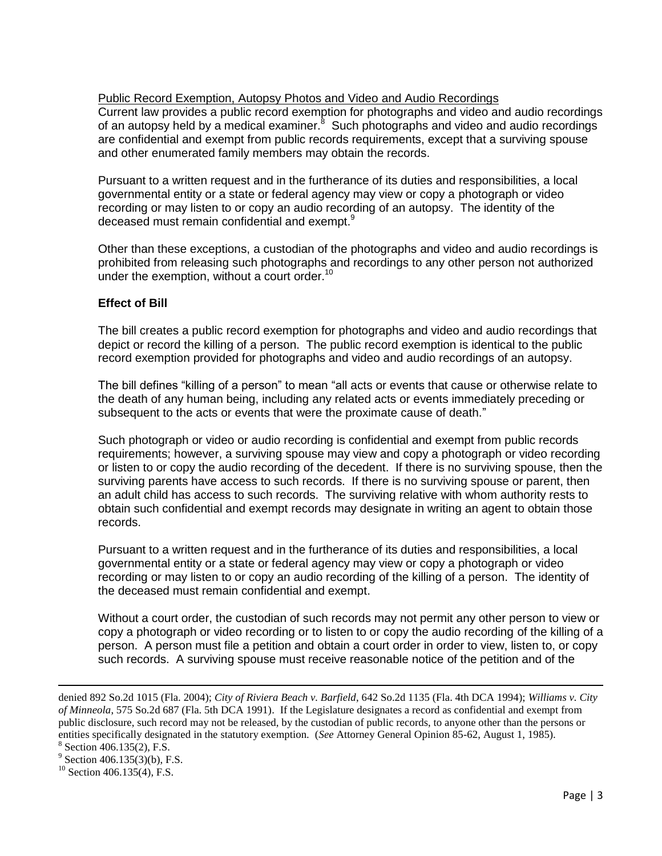Public Record Exemption, Autopsy Photos and Video and Audio Recordings Current law provides a public record exemption for photographs and video and audio recordings of an autopsy held by a medical examiner.<sup>8</sup> Such photographs and video and audio recordings are confidential and exempt from public records requirements, except that a surviving spouse and other enumerated family members may obtain the records.

Pursuant to a written request and in the furtherance of its duties and responsibilities, a local governmental entity or a state or federal agency may view or copy a photograph or video recording or may listen to or copy an audio recording of an autopsy. The identity of the deceased must remain confidential and exempt.<sup>9</sup>

Other than these exceptions, a custodian of the photographs and video and audio recordings is prohibited from releasing such photographs and recordings to any other person not authorized under the exemption, without a court order. $10$ 

# **Effect of Bill**

The bill creates a public record exemption for photographs and video and audio recordings that depict or record the killing of a person. The public record exemption is identical to the public record exemption provided for photographs and video and audio recordings of an autopsy.

The bill defines "killing of a person" to mean "all acts or events that cause or otherwise relate to the death of any human being, including any related acts or events immediately preceding or subsequent to the acts or events that were the proximate cause of death."

Such photograph or video or audio recording is confidential and exempt from public records requirements; however, a surviving spouse may view and copy a photograph or video recording or listen to or copy the audio recording of the decedent. If there is no surviving spouse, then the surviving parents have access to such records. If there is no surviving spouse or parent, then an adult child has access to such records. The surviving relative with whom authority rests to obtain such confidential and exempt records may designate in writing an agent to obtain those records.

Pursuant to a written request and in the furtherance of its duties and responsibilities, a local governmental entity or a state or federal agency may view or copy a photograph or video recording or may listen to or copy an audio recording of the killing of a person. The identity of the deceased must remain confidential and exempt.

Without a court order, the custodian of such records may not permit any other person to view or copy a photograph or video recording or to listen to or copy the audio recording of the killing of a person. A person must file a petition and obtain a court order in order to view, listen to, or copy such records. A surviving spouse must receive reasonable notice of the petition and of the

 $\overline{\phantom{a}}$ 

denied 892 So.2d 1015 (Fla. 2004); *City of Riviera Beach v. Barfield*, 642 So.2d 1135 (Fla. 4th DCA 1994); *Williams v. City of Minneola*, 575 So.2d 687 (Fla. 5th DCA 1991). If the Legislature designates a record as confidential and exempt from public disclosure, such record may not be released, by the custodian of public records, to anyone other than the persons or entities specifically designated in the statutory exemption. (*See* Attorney General Opinion 85-62, August 1, 1985).

<sup>8</sup> Section 406.135(2), F.S. 9

Section 406.135(3)(b), F.S.

 $^{10}$  Section 406.135(4), F.S.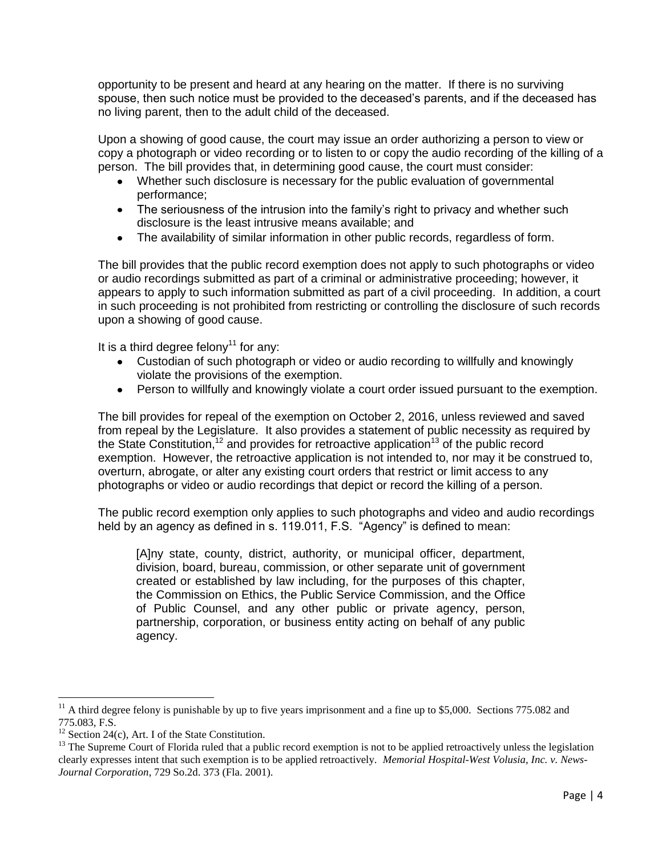opportunity to be present and heard at any hearing on the matter. If there is no surviving spouse, then such notice must be provided to the deceased's parents, and if the deceased has no living parent, then to the adult child of the deceased.

Upon a showing of good cause, the court may issue an order authorizing a person to view or copy a photograph or video recording or to listen to or copy the audio recording of the killing of a person. The bill provides that, in determining good cause, the court must consider:

- Whether such disclosure is necessary for the public evaluation of governmental performance;
- The seriousness of the intrusion into the family's right to privacy and whether such disclosure is the least intrusive means available; and
- The availability of similar information in other public records, regardless of form.

The bill provides that the public record exemption does not apply to such photographs or video or audio recordings submitted as part of a criminal or administrative proceeding; however, it appears to apply to such information submitted as part of a civil proceeding. In addition, a court in such proceeding is not prohibited from restricting or controlling the disclosure of such records upon a showing of good cause.

It is a third degree felony<sup>11</sup> for any:

- Custodian of such photograph or video or audio recording to willfully and knowingly violate the provisions of the exemption.
- Person to willfully and knowingly violate a court order issued pursuant to the exemption.

The bill provides for repeal of the exemption on October 2, 2016, unless reviewed and saved from repeal by the Legislature. It also provides a statement of public necessity as required by the State Constitution,<sup>12</sup> and provides for retroactive application<sup>13</sup> of the public record exemption. However, the retroactive application is not intended to, nor may it be construed to, overturn, abrogate, or alter any existing court orders that restrict or limit access to any photographs or video or audio recordings that depict or record the killing of a person.

The public record exemption only applies to such photographs and video and audio recordings held by an agency as defined in s. 119.011, F.S. "Agency" is defined to mean:

[A]ny state, county, district, authority, or municipal officer, department, division, board, bureau, commission, or other separate unit of government created or established by law including, for the purposes of this chapter, the Commission on Ethics, the Public Service Commission, and the Office of Public Counsel, and any other public or private agency, person, partnership, corporation, or business entity acting on behalf of any public agency.

l

 $11$  A third degree felony is punishable by up to five years imprisonment and a fine up to \$5,000. Sections 775.082 and 775.083, F.S.

 $12$  Section 24(c), Art. I of the State Constitution.

 $<sup>13</sup>$  The Supreme Court of Florida ruled that a public record exemption is not to be applied retroactively unless the legislation</sup> clearly expresses intent that such exemption is to be applied retroactively. *Memorial Hospital-West Volusia, Inc. v. News-Journal Corporation*, 729 So.2d. 373 (Fla. 2001).